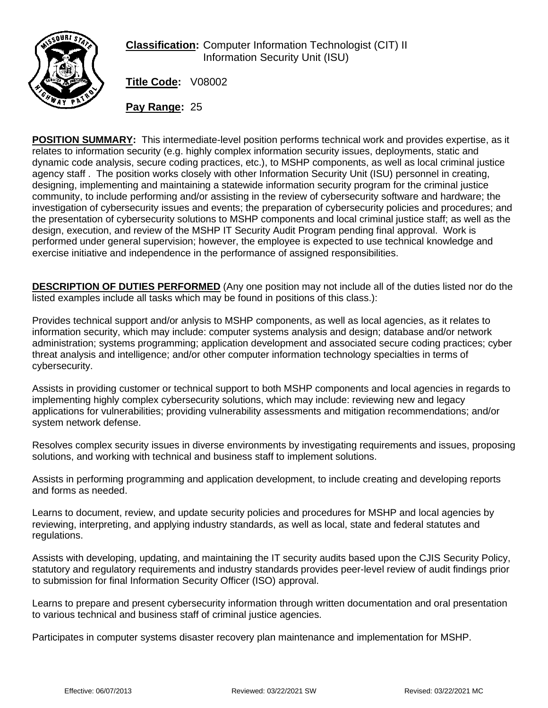

**Classification:** Computer Information Technologist (CIT) II Information Security Unit (ISU)

**Title Code:** V08002

**Pay Range:** 25

**POSITION SUMMARY:** This intermediate-level position performs technical work and provides expertise, as it relates to information security (e.g. highly complex information security issues, deployments, static and dynamic code analysis, secure coding practices, etc.), to MSHP components, as well as local criminal justice agency staff . The position works closely with other Information Security Unit (ISU) personnel in creating, designing, implementing and maintaining a statewide information security program for the criminal justice community, to include performing and/or assisting in the review of cybersecurity software and hardware; the investigation of cybersecurity issues and events; the preparation of cybersecurity policies and procedures; and the presentation of cybersecurity solutions to MSHP components and local criminal justice staff; as well as the design, execution, and review of the MSHP IT Security Audit Program pending final approval. Work is performed under general supervision; however, the employee is expected to use technical knowledge and exercise initiative and independence in the performance of assigned responsibilities.

**DESCRIPTION OF DUTIES PERFORMED** (Any one position may not include all of the duties listed nor do the listed examples include all tasks which may be found in positions of this class.):

Provides technical support and/or anlysis to MSHP components, as well as local agencies, as it relates to information security, which may include: computer systems analysis and design; database and/or network administration; systems programming; application development and associated secure coding practices; cyber threat analysis and intelligence; and/or other computer information technology specialties in terms of cybersecurity.

Assists in providing customer or technical support to both MSHP components and local agencies in regards to implementing highly complex cybersecurity solutions, which may include: reviewing new and legacy applications for vulnerabilities; providing vulnerability assessments and mitigation recommendations; and/or system network defense.

Resolves complex security issues in diverse environments by investigating requirements and issues, proposing solutions, and working with technical and business staff to implement solutions.

Assists in performing programming and application development, to include creating and developing reports and forms as needed.

Learns to document, review, and update security policies and procedures for MSHP and local agencies by reviewing, interpreting, and applying industry standards, as well as local, state and federal statutes and regulations.

Assists with developing, updating, and maintaining the IT security audits based upon the CJIS Security Policy, statutory and regulatory requirements and industry standards provides peer-level review of audit findings prior to submission for final Information Security Officer (ISO) approval.

Learns to prepare and present cybersecurity information through written documentation and oral presentation to various technical and business staff of criminal justice agencies.

Participates in computer systems disaster recovery plan maintenance and implementation for MSHP.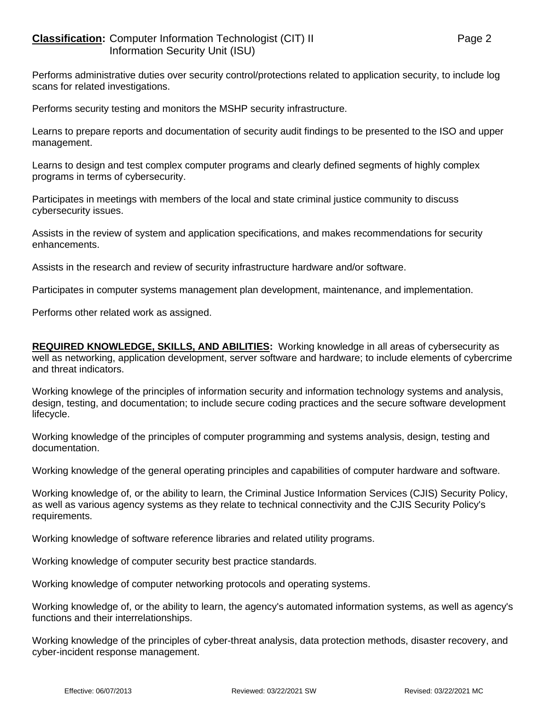## **Classification:** Computer Information Technologist (CIT) II Page 2 Information Security Unit (ISU)

Performs administrative duties over security control/protections related to application security, to include log scans for related investigations.

Performs security testing and monitors the MSHP security infrastructure.

Learns to prepare reports and documentation of security audit findings to be presented to the ISO and upper management.

Learns to design and test complex computer programs and clearly defined segments of highly complex programs in terms of cybersecurity.

Participates in meetings with members of the local and state criminal justice community to discuss cybersecurity issues.

Assists in the review of system and application specifications, and makes recommendations for security enhancements.

Assists in the research and review of security infrastructure hardware and/or software.

Participates in computer systems management plan development, maintenance, and implementation.

Performs other related work as assigned.

**REQUIRED KNOWLEDGE, SKILLS, AND ABILITIES:** Working knowledge in all areas of cybersecurity as well as networking, application development, server software and hardware; to include elements of cybercrime and threat indicators.

Working knowlege of the principles of information security and information technology systems and analysis, design, testing, and documentation; to include secure coding practices and the secure software development lifecycle.

Working knowledge of the principles of computer programming and systems analysis, design, testing and documentation.

Working knowledge of the general operating principles and capabilities of computer hardware and software.

Working knowledge of, or the ability to learn, the Criminal Justice Information Services (CJIS) Security Policy, as well as various agency systems as they relate to technical connectivity and the CJIS Security Policy's requirements.

Working knowledge of software reference libraries and related utility programs.

Working knowledge of computer security best practice standards.

Working knowledge of computer networking protocols and operating systems.

Working knowledge of, or the ability to learn, the agency's automated information systems, as well as agency's functions and their interrelationships.

Working knowledge of the principles of cyber-threat analysis, data protection methods, disaster recovery, and cyber-incident response management.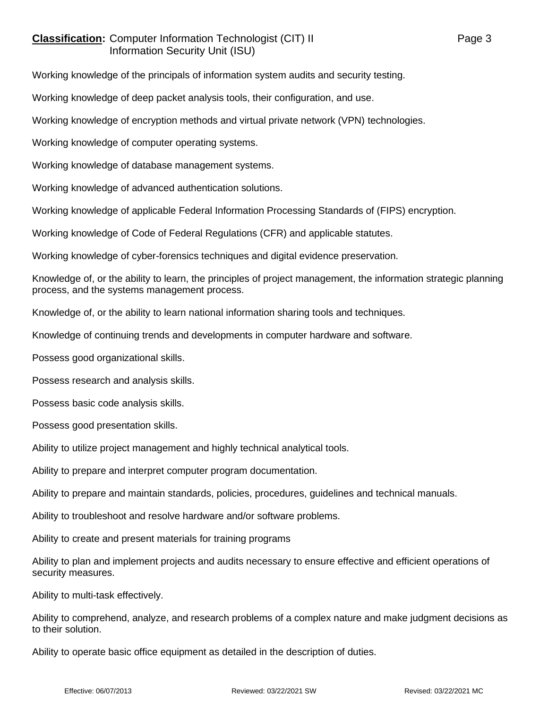## **Classification:** Computer Information Technologist (CIT) II Page 3 Information Security Unit (ISU)

Working knowledge of the principals of information system audits and security testing.

Working knowledge of deep packet analysis tools, their configuration, and use.

Working knowledge of encryption methods and virtual private network (VPN) technologies.

Working knowledge of computer operating systems.

Working knowledge of database management systems.

Working knowledge of advanced authentication solutions.

Working knowledge of applicable Federal Information Processing Standards of (FIPS) encryption.

Working knowledge of Code of Federal Regulations (CFR) and applicable statutes.

Working knowledge of cyber-forensics techniques and digital evidence preservation.

Knowledge of, or the ability to learn, the principles of project management, the information strategic planning process, and the systems management process.

Knowledge of, or the ability to learn national information sharing tools and techniques.

Knowledge of continuing trends and developments in computer hardware and software.

Possess good organizational skills.

Possess research and analysis skills.

Possess basic code analysis skills.

Possess good presentation skills.

Ability to utilize project management and highly technical analytical tools.

Ability to prepare and interpret computer program documentation.

Ability to prepare and maintain standards, policies, procedures, guidelines and technical manuals.

Ability to troubleshoot and resolve hardware and/or software problems.

Ability to create and present materials for training programs

Ability to plan and implement projects and audits necessary to ensure effective and efficient operations of security measures.

Ability to multi-task effectively.

Ability to comprehend, analyze, and research problems of a complex nature and make judgment decisions as to their solution.

Ability to operate basic office equipment as detailed in the description of duties.